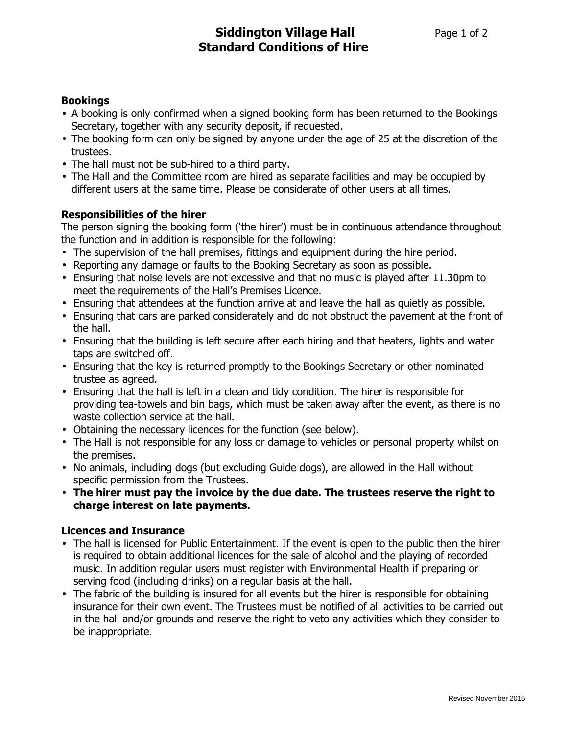# Bookings

- A booking is only confirmed when a signed booking form has been returned to the Bookings Secretary, together with any security deposit, if requested.
- The booking form can only be signed by anyone under the age of 25 at the discretion of the trustees.
- The hall must not be sub-hired to a third party.
- The Hall and the Committee room are hired as separate facilities and may be occupied by different users at the same time. Please be considerate of other users at all times.

# Responsibilities of the hirer

The person signing the booking form ('the hirer') must be in continuous attendance throughout the function and in addition is responsible for the following:

- The supervision of the hall premises, fittings and equipment during the hire period.
- Reporting any damage or faults to the Booking Secretary as soon as possible.
- Ensuring that noise levels are not excessive and that no music is played after 11.30pm to meet the requirements of the Hall's Premises Licence.
- Ensuring that attendees at the function arrive at and leave the hall as quietly as possible.
- Ensuring that cars are parked considerately and do not obstruct the pavement at the front of the hall.
- Ensuring that the building is left secure after each hiring and that heaters, lights and water taps are switched off.
- Ensuring that the key is returned promptly to the Bookings Secretary or other nominated trustee as agreed.
- Ensuring that the hall is left in a clean and tidy condition. The hirer is responsible for providing tea-towels and bin bags, which must be taken away after the event, as there is no waste collection service at the hall.
- Obtaining the necessary licences for the function (see below).
- The Hall is not responsible for any loss or damage to vehicles or personal property whilst on the premises.
- No animals, including dogs (but excluding Guide dogs), are allowed in the Hall without specific permission from the Trustees.
- The hirer must pay the invoice by the due date. The trustees reserve the right to charge interest on late payments.

# Licences and Insurance

- The hall is licensed for Public Entertainment. If the event is open to the public then the hirer is required to obtain additional licences for the sale of alcohol and the playing of recorded music. In addition regular users must register with Environmental Health if preparing or serving food (including drinks) on a regular basis at the hall.
- The fabric of the building is insured for all events but the hirer is responsible for obtaining insurance for their own event. The Trustees must be notified of all activities to be carried out in the hall and/or grounds and reserve the right to veto any activities which they consider to be inappropriate.